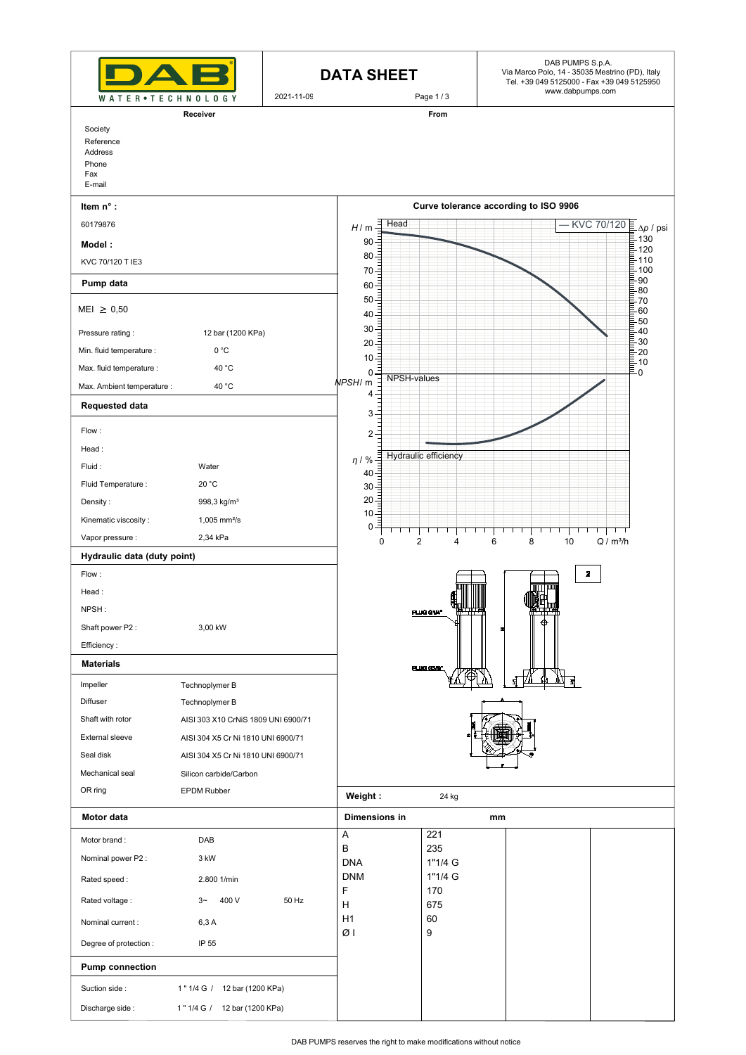|                                                |                                     | <b>DATA SHEET</b> |                             | DAB PUMPS S.p.A.<br>Via Marco Polo, 14 - 35035 Mestrino (PD), Italy<br>Tel. +39 049 5125000 - Fax +39 049 5125950<br>www.dabpumps.com |                                       |                                   |                                         |
|------------------------------------------------|-------------------------------------|-------------------|-----------------------------|---------------------------------------------------------------------------------------------------------------------------------------|---------------------------------------|-----------------------------------|-----------------------------------------|
| WATER • TECHNOLOGY                             |                                     | 2021-11-09        |                             | Page 1/3                                                                                                                              |                                       |                                   |                                         |
| Society                                        | Receiver                            |                   |                             | From                                                                                                                                  |                                       |                                   |                                         |
| Reference<br>Address<br>Phone<br>Fax<br>E-mail |                                     |                   |                             |                                                                                                                                       |                                       |                                   |                                         |
| Item n° :                                      |                                     |                   |                             |                                                                                                                                       | Curve tolerance according to ISO 9906 |                                   |                                         |
| 60179876                                       |                                     |                   | $\exists$ Head<br>H/m<br>90 |                                                                                                                                       |                                       | KVC 70/120                        | $\Delta p / \text{psi}$<br>$\equiv$ 130 |
| Model:                                         |                                     |                   | $80 -$                      |                                                                                                                                       |                                       |                                   | $\bar{\mathbb{E}}$ 120<br>₿ 110         |
| KVC 70/120 T IE3                               |                                     |                   | $70 -$                      |                                                                                                                                       |                                       |                                   | $-100$<br>90                            |
| Pump data                                      |                                     |                   | $60\frac{3}{5}$<br>$50 -$   |                                                                                                                                       |                                       |                                   | 80<br>70                                |
| $MEI \geq 0,50$                                |                                     |                   | $40 -$                      |                                                                                                                                       |                                       |                                   | 60<br>$50^{\circ}$                      |
| Pressure rating:                               | 12 bar (1200 KPa)                   |                   | $30 -$<br>$20 -$            |                                                                                                                                       |                                       |                                   | 40<br>30 <sub>o</sub>                   |
| Min. fluid temperature :                       | 0 °C                                |                   | $10 -$                      |                                                                                                                                       |                                       |                                   | E<br>20<br>E<br>$-10$                   |
| Max. fluid temperature :                       | 40 °C                               |                   | 0<br>NPSH-values            |                                                                                                                                       |                                       |                                   | - 0                                     |
| Max. Ambient temperature :                     | 40 °C                               |                   | NPSH/ m<br>$4 -$            |                                                                                                                                       |                                       |                                   |                                         |
| <b>Requested data</b>                          |                                     |                   | $3 -$                       |                                                                                                                                       |                                       |                                   |                                         |
| Flow:                                          |                                     |                   | $2 -$                       |                                                                                                                                       |                                       |                                   |                                         |
| Head:<br>Fluid:                                | Water                               |                   | $\eta$ / %                  | Hydraulic efficiency                                                                                                                  |                                       |                                   |                                         |
| Fluid Temperature :                            | 20 °C                               |                   | $40 -$                      |                                                                                                                                       |                                       |                                   |                                         |
| Density:                                       | 998,3 kg/m <sup>3</sup>             |                   | $30 -$<br>$20 -$            |                                                                                                                                       |                                       |                                   |                                         |
| Kinematic viscosity:                           | $1,005$ mm <sup>2</sup> /s          |                   | $10 =$                      |                                                                                                                                       |                                       |                                   |                                         |
| Vapor pressure :                               | 2,34 kPa                            |                   | 0<br>$\Omega$               | $\overline{2}$<br>Δ                                                                                                                   | 6<br>8                                | ΤΤ<br>Q / m <sup>3</sup> /h<br>10 |                                         |
| Hydraulic data (duty point)                    |                                     |                   |                             |                                                                                                                                       |                                       |                                   |                                         |
| Flow:                                          |                                     |                   |                             |                                                                                                                                       |                                       | $\overline{2}$                    |                                         |
| Head:                                          |                                     |                   |                             |                                                                                                                                       |                                       |                                   |                                         |
| NPSH:                                          |                                     |                   |                             | ₩<br>PLUG G1/4"                                                                                                                       |                                       |                                   |                                         |
| Shaft power P2:                                | 3,00 kW                             |                   |                             |                                                                                                                                       | ⊕                                     |                                   |                                         |
| Efficiency:                                    |                                     |                   |                             |                                                                                                                                       |                                       |                                   |                                         |
| <b>Materials</b>                               |                                     |                   |                             | PLUG G3/B*                                                                                                                            |                                       |                                   |                                         |
| Impeller                                       | Technoplymer B                      |                   |                             |                                                                                                                                       | ਬ੍ਰ                                   |                                   |                                         |
| Diffuser                                       | Technoplymer B                      |                   |                             |                                                                                                                                       |                                       |                                   |                                         |
| Shaft with rotor                               | AISI 303 X10 CrNiS 1809 UNI 6900/71 |                   |                             |                                                                                                                                       |                                       |                                   |                                         |
| <b>External sleeve</b>                         | AISI 304 X5 Cr Ni 1810 UNI 6900/71  |                   |                             |                                                                                                                                       |                                       |                                   |                                         |
| Seal disk                                      | AISI 304 X5 Cr Ni 1810 UNI 6900/71  |                   |                             |                                                                                                                                       |                                       |                                   |                                         |
| Mechanical seal                                | Silicon carbide/Carbon              |                   |                             |                                                                                                                                       |                                       |                                   |                                         |
| OR ring                                        | <b>EPDM Rubber</b>                  |                   | Weight:                     | 24 kg                                                                                                                                 |                                       |                                   |                                         |
| Motor data                                     |                                     |                   | Dimensions in               |                                                                                                                                       | mm                                    |                                   |                                         |
| Motor brand:                                   | DAB                                 |                   | Α<br>В                      | 221<br>235                                                                                                                            |                                       |                                   |                                         |
| Nominal power P2 :                             | 3 kW                                |                   | <b>DNA</b>                  | 1"1/4 G                                                                                                                               |                                       |                                   |                                         |
| Rated speed:                                   | 2.800 1/min                         |                   | <b>DNM</b>                  | 1"1/4 G                                                                                                                               |                                       |                                   |                                         |
| Rated voltage:                                 | 400 V<br>$3-$                       | 50 Hz             | F<br>н                      | 170<br>675                                                                                                                            |                                       |                                   |                                         |
| Nominal current:                               | 6,3 A                               |                   | H1                          | 60                                                                                                                                    |                                       |                                   |                                         |
| Degree of protection :                         | IP 55                               |                   | ØΙ                          | 9                                                                                                                                     |                                       |                                   |                                         |
| <b>Pump connection</b>                         |                                     |                   |                             |                                                                                                                                       |                                       |                                   |                                         |
| Suction side:                                  | 1" 1/4 G / 12 bar (1200 KPa)        |                   |                             |                                                                                                                                       |                                       |                                   |                                         |
| Discharge side:                                | 1" 1/4 G / 12 bar (1200 KPa)        |                   |                             |                                                                                                                                       |                                       |                                   |                                         |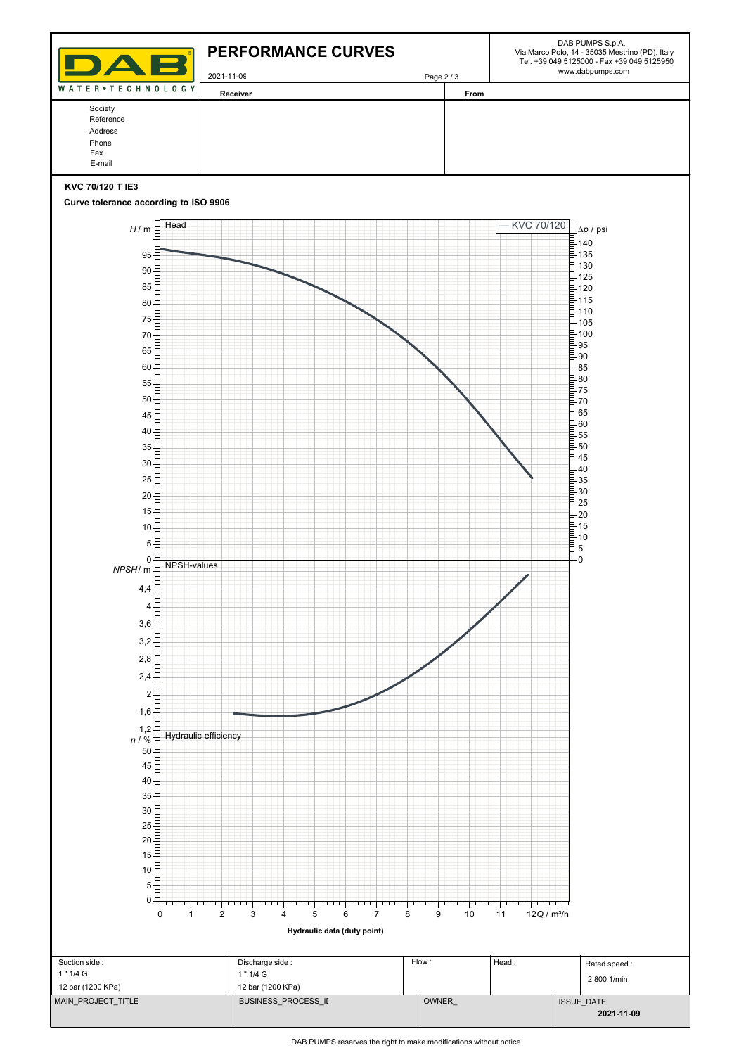